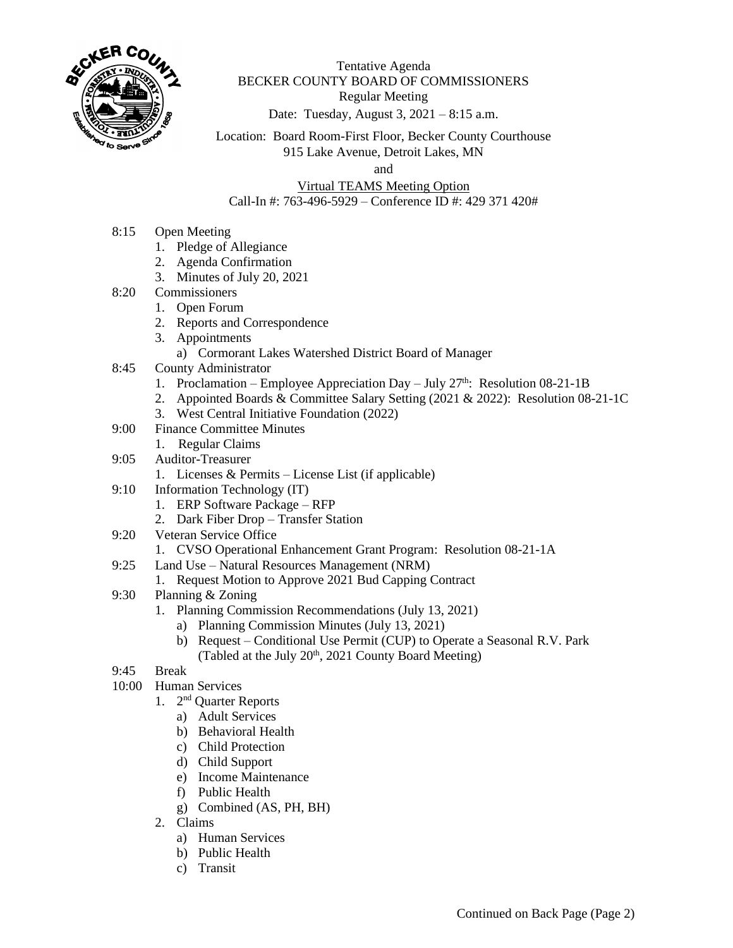

Tentative Agenda BECKER COUNTY BOARD OF COMMISSIONERS Regular Meeting Date: Tuesday, August 3, 2021 – 8:15 a.m.

Location: Board Room-First Floor, Becker County Courthouse 915 Lake Avenue, Detroit Lakes, MN

and

Virtual TEAMS Meeting Option Call-In #: 763-496-5929 – Conference ID #: 429 371 420#

- 8:15 Open Meeting
	- 1. Pledge of Allegiance
	- 2. Agenda Confirmation
	- 3. Minutes of July 20, 2021
- 8:20 Commissioners
	- 1. Open Forum
		- 2. Reports and Correspondence
		- 3. Appointments
		- a) Cormorant Lakes Watershed District Board of Manager
- 8:45 County Administrator
	- 1. Proclamation Employee Appreciation Day July  $27<sup>th</sup>$ : Resolution 08-21-1B
	- 2. Appointed Boards & Committee Salary Setting (2021 & 2022): Resolution 08-21-1C
	- 3. West Central Initiative Foundation (2022)
- 9:00 Finance Committee Minutes
	- 1. Regular Claims
- 9:05 Auditor-Treasurer
	- 1. Licenses & Permits License List (if applicable)
- 9:10 Information Technology (IT)
	- 1. ERP Software Package RFP
	- 2. Dark Fiber Drop Transfer Station
- 9:20 Veteran Service Office
	- 1. CVSO Operational Enhancement Grant Program: Resolution 08-21-1A
- 9:25 Land Use Natural Resources Management (NRM)
	- 1. Request Motion to Approve 2021 Bud Capping Contract
- 9:30 Planning & Zoning
	- 1. Planning Commission Recommendations (July 13, 2021)
		- a) Planning Commission Minutes (July 13, 2021)
		- b) Request Conditional Use Permit (CUP) to Operate a Seasonal R.V. Park (Tabled at the July  $20<sup>th</sup>$ ,  $2021$  County Board Meeting)
- 9:45 Break
- 10:00 Human Services
	- 1. 2<sup>nd</sup> Quarter Reports
		- a) Adult Services
		- b) Behavioral Health
		- c) Child Protection
		- d) Child Support
		- e) Income Maintenance
		- f) Public Health
		- g) Combined (AS, PH, BH)
	- 2. Claims
		- a) Human Services
		- b) Public Health
		- c) Transit